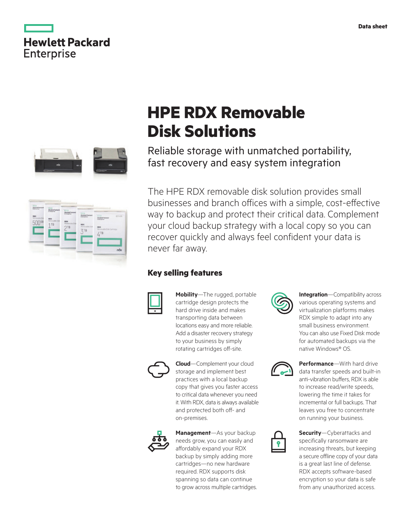|                   | <b>Hewlett Packard</b> |
|-------------------|------------------------|
| <b>Enterprise</b> |                        |





# **HPE RDX Removable Disk Solutions**

Reliable storage with unmatched portability, fast recovery and easy system integration

The HPE RDX removable disk solution provides small businesses and branch offices with a simple, cost-effective way to backup and protect their critical data. Complement your cloud backup strategy with a local copy so you can recover quickly and always feel confident your data is never far away.

#### **Key selling features**



**Mobility**—The rugged, portable cartridge design protects the hard drive inside and makes transporting data between locations easy and more reliable. Add a disaster recovery strategy to your business by simply rotating cartridges off-site.



**Cloud**—Complement your cloud storage and implement best practices with a local backup copy that gives you faster access to critical data whenever you need it. With RDX, data is always available and protected both off- and on-premises.



**Management**—As your backup needs grow, you can easily and affordably expand your RDX backup by simply adding more cartridges—no new hardware required. RDX supports disk spanning so data can continue to grow across multiple cartridges.



**Integration**—Compatibility across various operating systems and virtualization platforms makes RDX simple to adapt into any small business environment. You can also use Fixed Disk mode for automated backups via the native Windows® OS.



**Performance**—With hard drive data transfer speeds and built-in anti-vibration buffers, RDX is able to increase read/write speeds, lowering the time it takes for incremental or full backups. That leaves you free to concentrate on running your business.



**Security**—Cyberattacks and specifically ransomware are increasing threats, but keeping a secure offline copy of your data is a great last line of defense. RDX accepts software-based encryption so your data is safe from any unauthorized access.